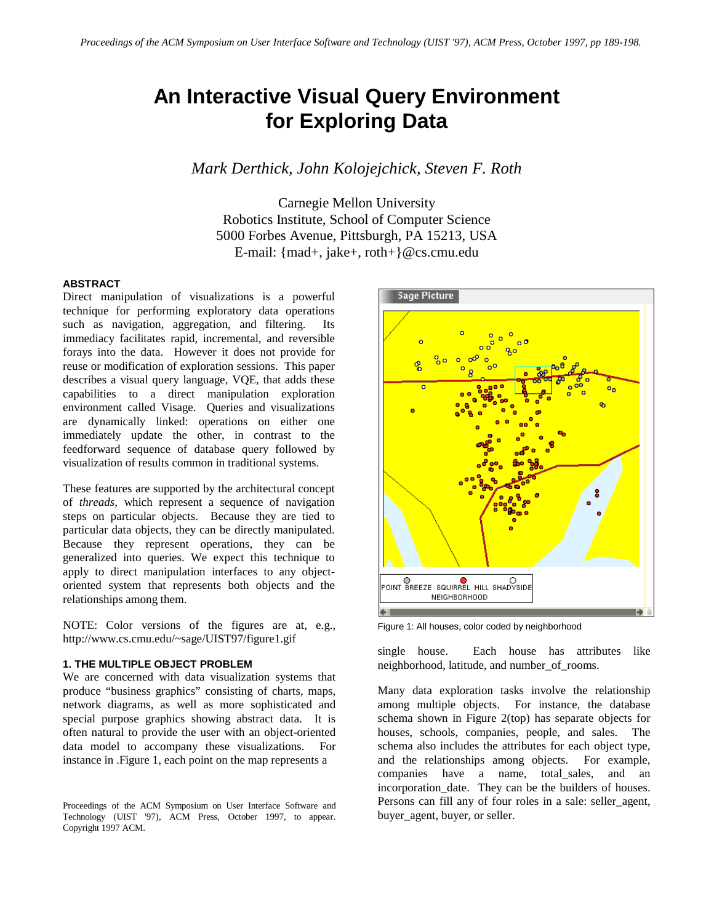# **An Interactive Visual Query Environment for Exploring Data**

*Mark Derthick, John Kolojejchick, Steven F. Roth* 

Carnegie Mellon University Robotics Institute, School of Computer Science 5000 Forbes Avenue, Pittsburgh, PA 15213, USA E-mail: {mad+, jake+, roth+}@cs.cmu.edu

# **ABSTRACT**

Direct manipulation of visualizations is a powerful technique for performing exploratory data operations such as navigation, aggregation, and filtering. Its immediacy facilitates rapid, incremental, and reversible forays into the data. However it does not provide for reuse or modification of exploration sessions. This paper describes a visual query language, VQE, that adds these capabilities to a direct manipulation exploration environment called Visage. Queries and visualizations are dynamically linked: operations on either one immediately update the other, in contrast to the feedforward sequence of database query followed by visualization of results common in traditional systems.

These features are supported by the architectural concept of *threads,* which represent a sequence of navigation steps on particular objects. Because they are tied to particular data objects, they can be directly manipulated. Because they represent operations, they can be generalized into queries. We expect this technique to apply to direct manipulation interfaces to any objectoriented system that represents both objects and the relationships among them.

NOTE: Color versions of the figures are at, e.g., http://www.cs.cmu.edu/~sage/UIST97/figure1.gif

#### **1. THE MULTIPLE OBJECT PROBLEM**

We are concerned with data visualization systems that produce "business graphics" consisting of charts, maps, network diagrams, as well as more sophisticated and special purpose graphics showing abstract data. It is often natural to provide the user with an object-oriented data model to accompany these visualizations. For instance in .Figure 1, each point on the map represents a



Figure 1: All houses, color coded by neighborhood

single house. Each house has attributes like neighborhood, latitude, and number\_of\_rooms.

Many data exploration tasks involve the relationship among multiple objects. For instance, the database schema shown in Figure 2(top) has separate objects for houses, schools, companies, people, and sales. The schema also includes the attributes for each object type, and the relationships among objects. For example, companies have a name, total\_sales, and an incorporation\_date. They can be the builders of houses. Persons can fill any of four roles in a sale: seller\_agent, buyer agent, buyer, or seller.

Proceedings of the ACM Symposium on User Interface Software and Technology (UIST '97), ACM Press, October 1997, to appear. Copyright 1997 ACM.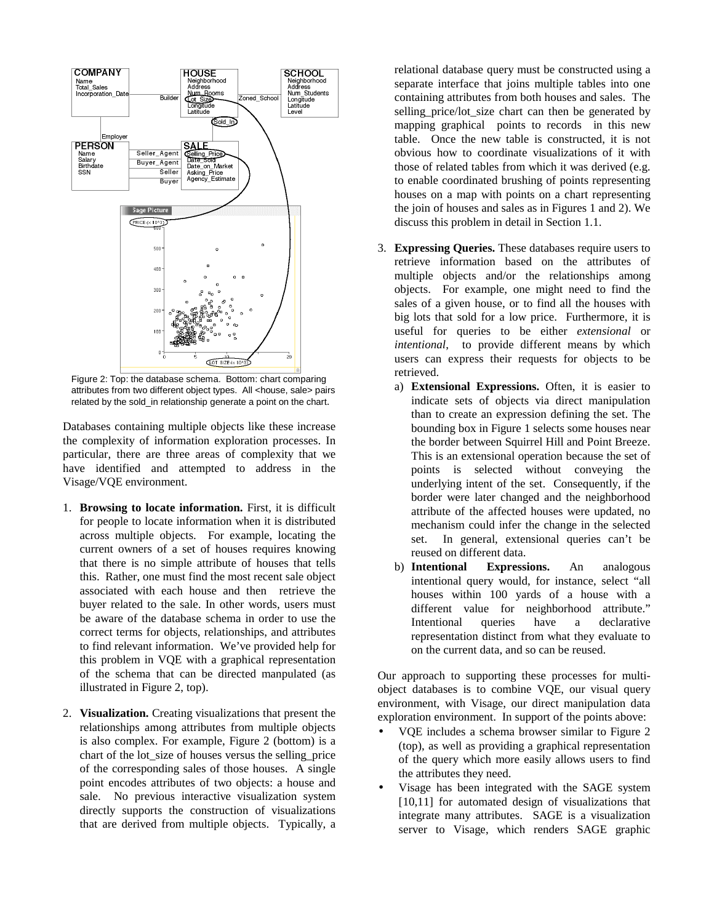

Figure 2: Top: the database schema. Bottom: chart comparing attributes from two different object types. All <house, sale> pairs related by the sold\_in relationship generate a point on the chart.

Databases containing multiple objects like these increase the complexity of information exploration processes. In particular, there are three areas of complexity that we have identified and attempted to address in the Visage/VQE environment.

- 1. **Browsing to locate information.** First, it is difficult for people to locate information when it is distributed across multiple objects. For example, locating the current owners of a set of houses requires knowing that there is no simple attribute of houses that tells this. Rather, one must find the most recent sale object associated with each house and then retrieve the buyer related to the sale. In other words, users must be aware of the database schema in order to use the correct terms for objects, relationships, and attributes to find relevant information. We've provided help for this problem in VQE with a graphical representation of the schema that can be directed manpulated (as illustrated in Figure 2, top).
- 2. **Visualization.** Creating visualizations that present the relationships among attributes from multiple objects is also complex. For example, Figure 2 (bottom) is a chart of the lot\_size of houses versus the selling\_price of the corresponding sales of those houses. A single point encodes attributes of two objects: a house and sale. No previous interactive visualization system directly supports the construction of visualizations that are derived from multiple objects. Typically, a

relational database query must be constructed using a separate interface that joins multiple tables into one containing attributes from both houses and sales. The selling price/lot size chart can then be generated by mapping graphical points to records in this new table. Once the new table is constructed, it is not obvious how to coordinate visualizations of it with those of related tables from which it was derived (e.g. to enable coordinated brushing of points representing houses on a map with points on a chart representing the join of houses and sales as in Figures 1 and 2). We discuss this problem in detail in Section 1.1.

- 3. **Expressing Queries.** These databases require users to retrieve information based on the attributes of multiple objects and/or the relationships among objects. For example, one might need to find the sales of a given house, or to find all the houses with big lots that sold for a low price. Furthermore, it is useful for queries to be either *extensional* or *intentional*, to provide different means by which users can express their requests for objects to be retrieved.
	- a) **Extensional Expressions.** Often, it is easier to indicate sets of objects via direct manipulation than to create an expression defining the set. The bounding box in Figure 1 selects some houses near the border between Squirrel Hill and Point Breeze. This is an extensional operation because the set of points is selected without conveying the underlying intent of the set. Consequently, if the border were later changed and the neighborhood attribute of the affected houses were updated, no mechanism could infer the change in the selected set. In general, extensional queries can't be reused on different data.
	- b) **Intentional Expressions.** An analogous intentional query would, for instance, select "all houses within 100 yards of a house with a different value for neighborhood attribute." Intentional queries have a declarative representation distinct from what they evaluate to on the current data, and so can be reused.

Our approach to supporting these processes for multiobject databases is to combine VQE, our visual query environment, with Visage, our direct manipulation data exploration environment. In support of the points above:

- VQE includes a schema browser similar to Figure 2 (top), as well as providing a graphical representation of the query which more easily allows users to find the attributes they need.
- Visage has been integrated with the SAGE system [10,11] for automated design of visualizations that integrate many attributes. SAGE is a visualization server to Visage, which renders SAGE graphic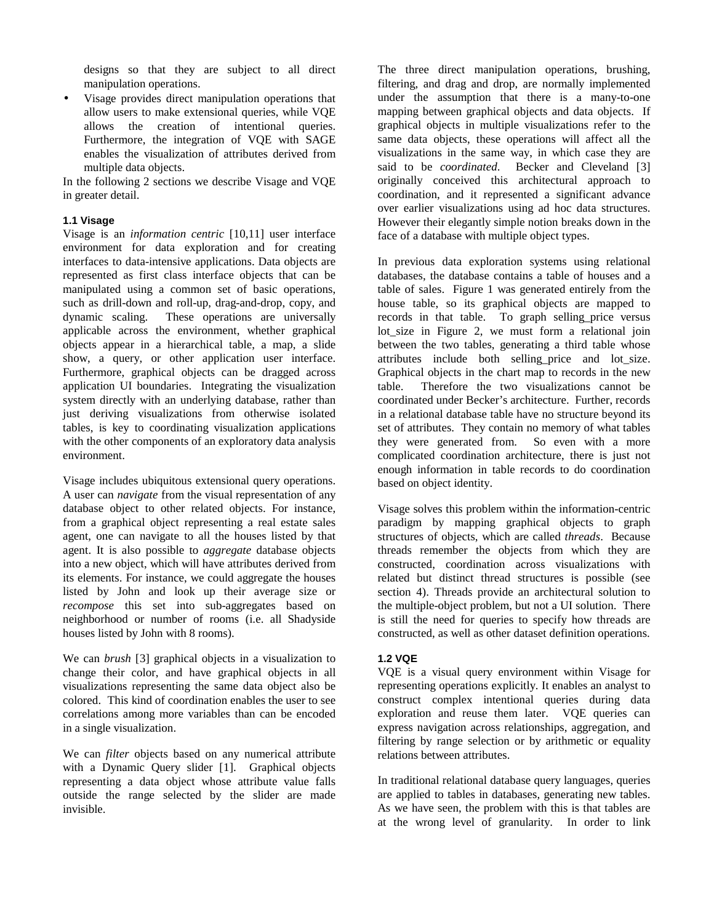designs so that they are subject to all direct manipulation operations.

• Visage provides direct manipulation operations that allow users to make extensional queries, while VQE allows the creation of intentional queries. Furthermore, the integration of VQE with SAGE enables the visualization of attributes derived from multiple data objects.

In the following 2 sections we describe Visage and VQE in greater detail.

# **1.1 Visage**

Visage is an *information centric* [10,11] user interface environment for data exploration and for creating interfaces to data-intensive applications. Data objects are represented as first class interface objects that can be manipulated using a common set of basic operations, such as drill-down and roll-up, drag-and-drop, copy, and dynamic scaling. These operations are universally applicable across the environment, whether graphical objects appear in a hierarchical table, a map, a slide show, a query, or other application user interface. Furthermore, graphical objects can be dragged across application UI boundaries. Integrating the visualization system directly with an underlying database, rather than just deriving visualizations from otherwise isolated tables, is key to coordinating visualization applications with the other components of an exploratory data analysis environment.

Visage includes ubiquitous extensional query operations. A user can *navigate* from the visual representation of any database object to other related objects. For instance, from a graphical object representing a real estate sales agent, one can navigate to all the houses listed by that agent. It is also possible to *aggregate* database objects into a new object, which will have attributes derived from its elements. For instance, we could aggregate the houses listed by John and look up their average size or *recompose* this set into sub-aggregates based on neighborhood or number of rooms (i.e. all Shadyside houses listed by John with 8 rooms).

We can *brush* [3] graphical objects in a visualization to change their color, and have graphical objects in all visualizations representing the same data object also be colored. This kind of coordination enables the user to see correlations among more variables than can be encoded in a single visualization.

We can *filter* objects based on any numerical attribute with a Dynamic Query slider [1]. Graphical objects representing a data object whose attribute value falls outside the range selected by the slider are made invisible.

The three direct manipulation operations, brushing, filtering, and drag and drop, are normally implemented under the assumption that there is a many-to-one mapping between graphical objects and data objects. If graphical objects in multiple visualizations refer to the same data objects, these operations will affect all the visualizations in the same way, in which case they are said to be *coordinated*. Becker and Cleveland [3] originally conceived this architectural approach to coordination, and it represented a significant advance over earlier visualizations using ad hoc data structures. However their elegantly simple notion breaks down in the face of a database with multiple object types.

In previous data exploration systems using relational databases, the database contains a table of houses and a table of sales. Figure 1 was generated entirely from the house table, so its graphical objects are mapped to records in that table. To graph selling\_price versus lot\_size in Figure 2, we must form a relational join between the two tables, generating a third table whose attributes include both selling\_price and lot\_size. Graphical objects in the chart map to records in the new table. Therefore the two visualizations cannot be coordinated under Becker's architecture. Further, records in a relational database table have no structure beyond its set of attributes. They contain no memory of what tables they were generated from. So even with a more complicated coordination architecture, there is just not enough information in table records to do coordination based on object identity.

Visage solves this problem within the information-centric paradigm by mapping graphical objects to graph structures of objects, which are called *threads*. Because threads remember the objects from which they are constructed, coordination across visualizations with related but distinct thread structures is possible (see section 4). Threads provide an architectural solution to the multiple-object problem, but not a UI solution. There is still the need for queries to specify how threads are constructed, as well as other dataset definition operations.

# **1.2 VQE**

VQE is a visual query environment within Visage for representing operations explicitly. It enables an analyst to construct complex intentional queries during data exploration and reuse them later. VQE queries can express navigation across relationships, aggregation, and filtering by range selection or by arithmetic or equality relations between attributes.

In traditional relational database query languages, queries are applied to tables in databases*,* generating new tables. As we have seen, the problem with this is that tables are at the wrong level of granularity. In order to link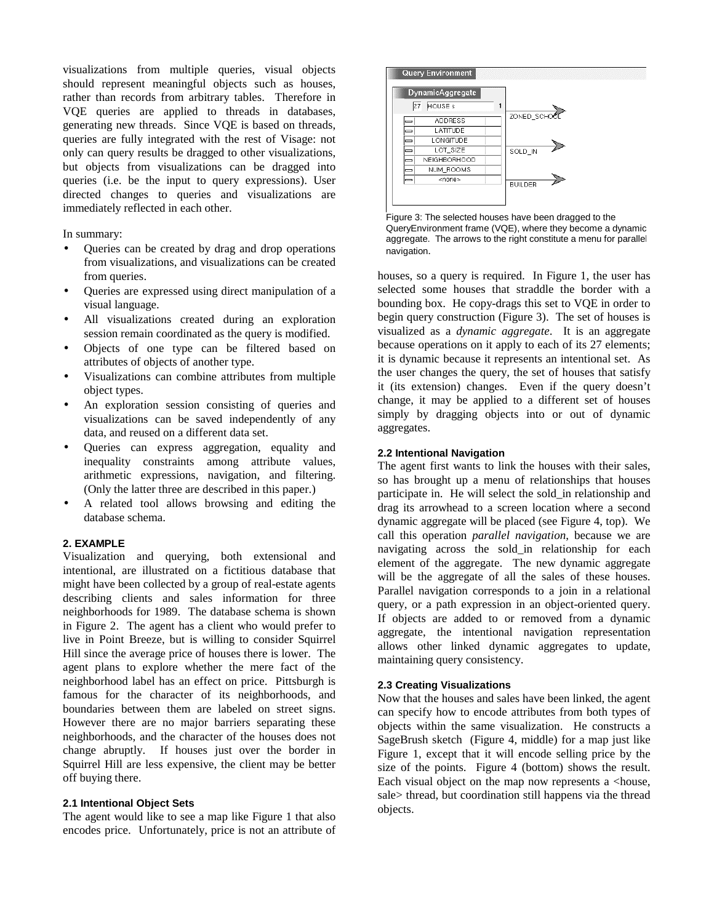visualizations from multiple queries, visual objects should represent meaningful objects such as houses, rather than records from arbitrary tables. Therefore in VQE queries are applied to threads in databases, generating new threads. Since VQE is based on threads, queries are fully integrated with the rest of Visage: not only can query results be dragged to other visualizations, but objects from visualizations can be dragged into queries (i.e. be the input to query expressions). User directed changes to queries and visualizations are immediately reflected in each other.

In summary:

- Queries can be created by drag and drop operations from visualizations, and visualizations can be created from queries.
- Queries are expressed using direct manipulation of a visual language.
- All visualizations created during an exploration session remain coordinated as the query is modified.
- Objects of one type can be filtered based on attributes of objects of another type.
- Visualizations can combine attributes from multiple object types.
- An exploration session consisting of queries and visualizations can be saved independently of any data, and reused on a different data set.
- Queries can express aggregation, equality and inequality constraints among attribute values, arithmetic expressions, navigation, and filtering. (Only the latter three are described in this paper.)
- A related tool allows browsing and editing the database schema.

# **2. EXAMPLE**

Visualization and querying, both extensional and intentional, are illustrated on a fictitious database that might have been collected by a group of real-estate agents describing clients and sales information for three neighborhoods for 1989. The database schema is shown in Figure 2. The agent has a client who would prefer to live in Point Breeze, but is willing to consider Squirrel Hill since the average price of houses there is lower. The agent plans to explore whether the mere fact of the neighborhood label has an effect on price. Pittsburgh is famous for the character of its neighborhoods, and boundaries between them are labeled on street signs. However there are no major barriers separating these neighborhoods, and the character of the houses does not change abruptly. If houses just over the border in Squirrel Hill are less expensive, the client may be better off buying there.

#### **2.1 Intentional Object Sets**

The agent would like to see a map like Figure 1 that also encodes price. Unfortunately, price is not an attribute of



Figure 3: The selected houses have been dragged to the QueryEnvironment frame (VQE), where they become a dynamic aggregate. The arrows to the right constitute a menu for parallel navigation.

houses, so a query is required. In Figure 1, the user has selected some houses that straddle the border with a bounding box. He copy-drags this set to VQE in order to begin query construction (Figure 3). The set of houses is visualized as a *dynamic aggregate*. It is an aggregate because operations on it apply to each of its 27 elements; it is dynamic because it represents an intentional set. As the user changes the query, the set of houses that satisfy it (its extension) changes. Even if the query doesn't change, it may be applied to a different set of houses simply by dragging objects into or out of dynamic aggregates.

#### **2.2 Intentional Navigation**

The agent first wants to link the houses with their sales, so has brought up a menu of relationships that houses participate in. He will select the sold\_in relationship and drag its arrowhead to a screen location where a second dynamic aggregate will be placed (see Figure 4, top). We call this operation *parallel navigation*, because we are navigating across the sold\_in relationship for each element of the aggregate. The new dynamic aggregate will be the aggregate of all the sales of these houses. Parallel navigation corresponds to a join in a relational query, or a path expression in an object-oriented query. If objects are added to or removed from a dynamic aggregate, the intentional navigation representation allows other linked dynamic aggregates to update, maintaining query consistency.

# **2.3 Creating Visualizations**

Now that the houses and sales have been linked, the agent can specify how to encode attributes from both types of objects within the same visualization. He constructs a SageBrush sketch (Figure 4, middle) for a map just like Figure 1, except that it will encode selling price by the size of the points. Figure 4 (bottom) shows the result. Each visual object on the map now represents a <house, sale> thread, but coordination still happens via the thread objects.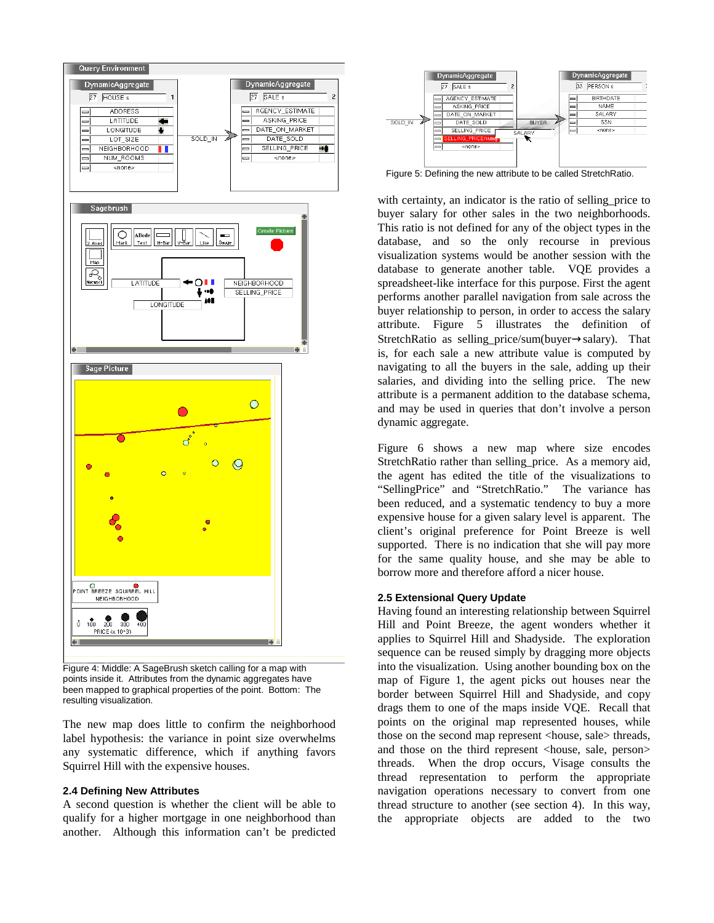

Figure 4: Middle: A SageBrush sketch calling for a map with points inside it. Attributes from the dynamic aggregates have been mapped to graphical properties of the point. Bottom: The resulting visualization.

The new map does little to confirm the neighborhood label hypothesis: the variance in point size overwhelms any systematic difference, which if anything favors Squirrel Hill with the expensive houses.

#### **2.4 Defining New Attributes**

A second question is whether the client will be able to qualify for a higher mortgage in one neighborhood than another. Although this information can't be predicted



Figure 5: Defining the new attribute to be called StretchRatio.

with certainty, an indicator is the ratio of selling price to buyer salary for other sales in the two neighborhoods. This ratio is not defined for any of the object types in the database, and so the only recourse in previous visualization systems would be another session with the database to generate another table. VQE provides a spreadsheet-like interface for this purpose. First the agent performs another parallel navigation from sale across the buyer relationship to person, in order to access the salary attribute. Figure 5 illustrates the definition of StretchRatio as selling\_price/sum(buyer→salary). That is, for each sale a new attribute value is computed by navigating to all the buyers in the sale, adding up their salaries, and dividing into the selling price. The new attribute is a permanent addition to the database schema, and may be used in queries that don't involve a person dynamic aggregate.

Figure 6 shows a new map where size encodes StretchRatio rather than selling\_price. As a memory aid, the agent has edited the title of the visualizations to "SellingPrice" and "StretchRatio." The variance has been reduced, and a systematic tendency to buy a more expensive house for a given salary level is apparent. The client's original preference for Point Breeze is well supported. There is no indication that she will pay more for the same quality house, and she may be able to borrow more and therefore afford a nicer house.

# **2.5 Extensional Query Update**

Having found an interesting relationship between Squirrel Hill and Point Breeze, the agent wonders whether it applies to Squirrel Hill and Shadyside. The exploration sequence can be reused simply by dragging more objects into the visualization. Using another bounding box on the map of Figure 1, the agent picks out houses near the border between Squirrel Hill and Shadyside, and copy drags them to one of the maps inside VQE. Recall that points on the original map represented houses, while those on the second map represent <house, sale> threads, and those on the third represent <house, sale, person> threads. When the drop occurs, Visage consults the thread representation to perform the appropriate navigation operations necessary to convert from one thread structure to another (see section 4). In this way, the appropriate objects are added to the two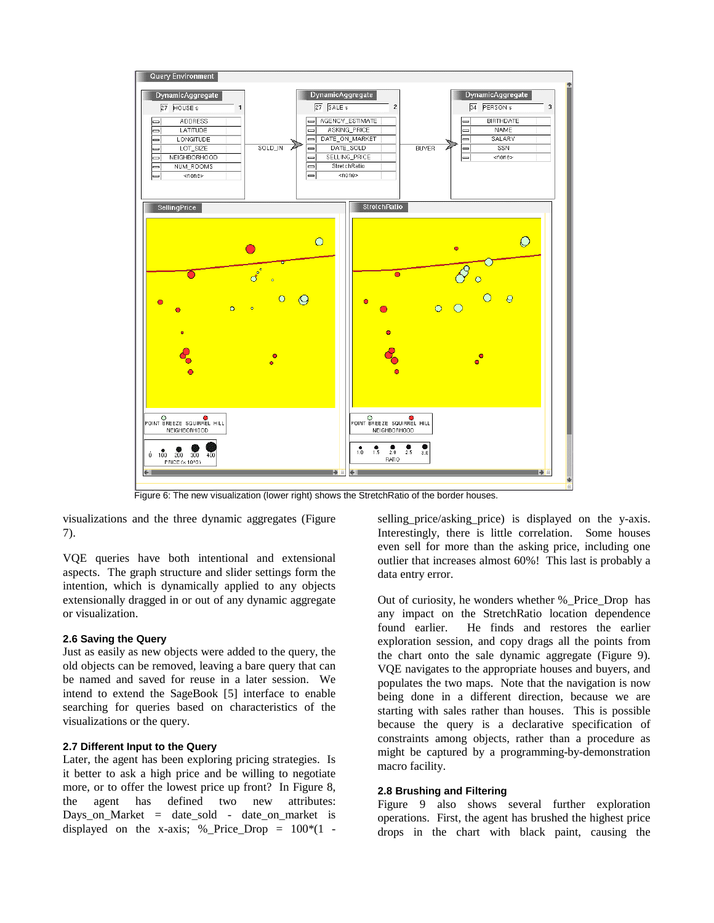

Figure 6: The new visualization (lower right) shows the StretchRatio of the border houses.

visualizations and the three dynamic aggregates (Figure 7).

VQE queries have both intentional and extensional aspects. The graph structure and slider settings form the intention, which is dynamically applied to any objects extensionally dragged in or out of any dynamic aggregate or visualization.

#### **2.6 Saving the Query**

Just as easily as new objects were added to the query, the old objects can be removed, leaving a bare query that can be named and saved for reuse in a later session. We intend to extend the SageBook [5] interface to enable searching for queries based on characteristics of the visualizations or the query.

#### **2.7 Different Input to the Query**

Later, the agent has been exploring pricing strategies. Is it better to ask a high price and be willing to negotiate more, or to offer the lowest price up front? In Figure 8, the agent has defined two new attributes: Days on Market = date sold - date on market is displayed on the x-axis; % Price Drop =  $100*(1 -$ 

selling\_price/asking\_price) is displayed on the y-axis. Interestingly, there is little correlation. Some houses even sell for more than the asking price, including one outlier that increases almost 60%! This last is probably a data entry error.

Out of curiosity, he wonders whether %\_Price\_Drop has any impact on the StretchRatio location dependence found earlier. He finds and restores the earlier exploration session, and copy drags all the points from the chart onto the sale dynamic aggregate (Figure 9). VQE navigates to the appropriate houses and buyers, and populates the two maps. Note that the navigation is now being done in a different direction, because we are starting with sales rather than houses. This is possible because the query is a declarative specification of constraints among objects, rather than a procedure as might be captured by a programming-by-demonstration macro facility.

#### **2.8 Brushing and Filtering**

Figure 9 also shows several further exploration operations. First, the agent has brushed the highest price drops in the chart with black paint, causing the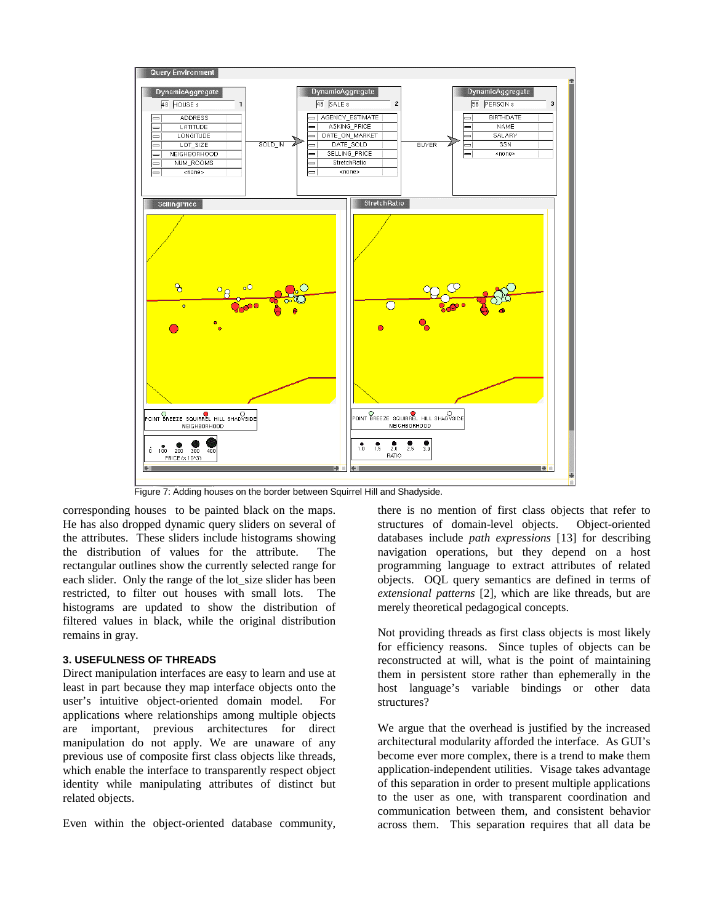

Figure 7: Adding houses on the border between Squirrel Hill and Shadyside.

corresponding houses to be painted black on the maps. He has also dropped dynamic query sliders on several of the attributes. These sliders include histograms showing the distribution of values for the attribute. The rectangular outlines show the currently selected range for each slider. Only the range of the lot\_size slider has been restricted, to filter out houses with small lots. The histograms are updated to show the distribution of filtered values in black, while the original distribution remains in gray.

# **3. USEFULNESS OF THREADS**

Direct manipulation interfaces are easy to learn and use at least in part because they map interface objects onto the user's intuitive object-oriented domain model. For applications where relationships among multiple objects are important, previous architectures for direct manipulation do not apply. We are unaware of any previous use of composite first class objects like threads, which enable the interface to transparently respect object identity while manipulating attributes of distinct but related objects.

Even within the object-oriented database community,

there is no mention of first class objects that refer to structures of domain-level objects. Object-oriented databases include *path expressions* [13] for describing navigation operations, but they depend on a host programming language to extract attributes of related objects. OQL query semantics are defined in terms of *extensional patterns* [2], which are like threads, but are merely theoretical pedagogical concepts.

Not providing threads as first class objects is most likely for efficiency reasons. Since tuples of objects can be reconstructed at will, what is the point of maintaining them in persistent store rather than ephemerally in the host language's variable bindings or other data structures?

We argue that the overhead is justified by the increased architectural modularity afforded the interface. As GUI's become ever more complex, there is a trend to make them application-independent utilities. Visage takes advantage of this separation in order to present multiple applications to the user as one, with transparent coordination and communication between them, and consistent behavior across them. This separation requires that all data be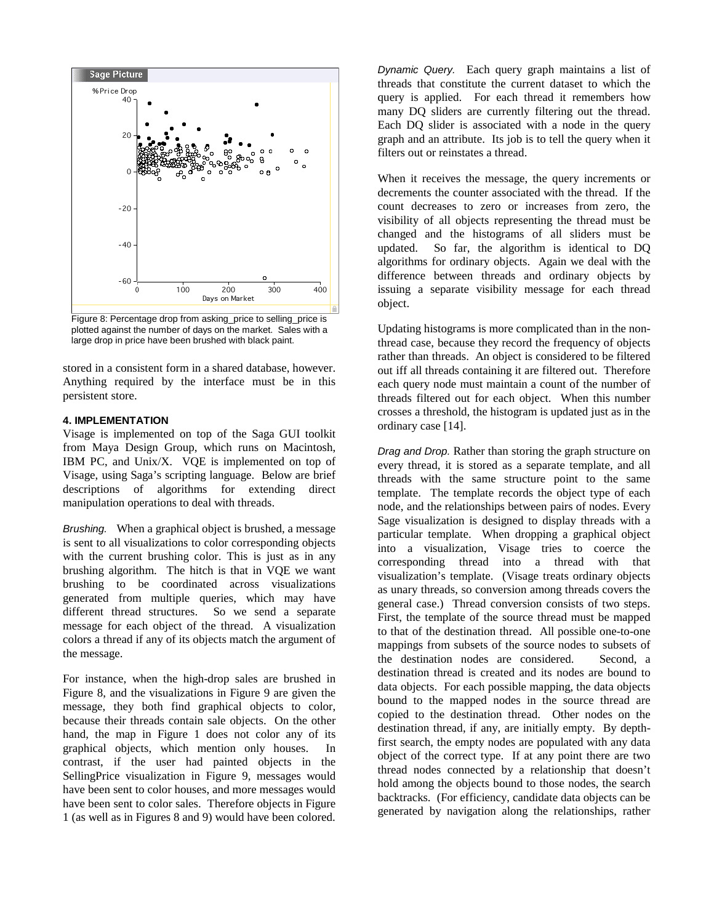

Figure 8: Percentage drop from asking\_price to selling\_price is plotted against the number of days on the market. Sales with a large drop in price have been brushed with black paint.

stored in a consistent form in a shared database, however. Anything required by the interface must be in this persistent store.

#### **4. IMPLEMENTATION**

Visage is implemented on top of the Saga GUI toolkit from Maya Design Group, which runs on Macintosh, IBM PC, and Unix/X. VQE is implemented on top of Visage, using Saga's scripting language. Below are brief descriptions of algorithms for extending direct manipulation operations to deal with threads.

Brushing. When a graphical object is brushed, a message is sent to all visualizations to color corresponding objects with the current brushing color. This is just as in any brushing algorithm. The hitch is that in VQE we want brushing to be coordinated across visualizations generated from multiple queries, which may have different thread structures. So we send a separate message for each object of the thread. A visualization colors a thread if any of its objects match the argument of the message.

For instance, when the high-drop sales are brushed in Figure 8, and the visualizations in Figure 9 are given the message, they both find graphical objects to color, because their threads contain sale objects. On the other hand, the map in Figure 1 does not color any of its graphical objects, which mention only houses. In contrast, if the user had painted objects in the SellingPrice visualization in Figure 9, messages would have been sent to color houses, and more messages would have been sent to color sales. Therefore objects in Figure 1 (as well as in Figures 8 and 9) would have been colored.

Dynamic Query. Each query graph maintains a list of threads that constitute the current dataset to which the query is applied. For each thread it remembers how many DQ sliders are currently filtering out the thread. Each DQ slider is associated with a node in the query graph and an attribute. Its job is to tell the query when it filters out or reinstates a thread.

When it receives the message, the query increments or decrements the counter associated with the thread. If the count decreases to zero or increases from zero, the visibility of all objects representing the thread must be changed and the histograms of all sliders must be updated. So far, the algorithm is identical to DQ algorithms for ordinary objects. Again we deal with the difference between threads and ordinary objects by issuing a separate visibility message for each thread object.

Updating histograms is more complicated than in the nonthread case, because they record the frequency of objects rather than threads. An object is considered to be filtered out iff all threads containing it are filtered out. Therefore each query node must maintain a count of the number of threads filtered out for each object. When this number crosses a threshold, the histogram is updated just as in the ordinary case [14].

Drag and Drop. Rather than storing the graph structure on every thread, it is stored as a separate template, and all threads with the same structure point to the same template.The template records the object type of each node, and the relationships between pairs of nodes. Every Sage visualization is designed to display threads with a particular template. When dropping a graphical object into a visualization, Visage tries to coerce the corresponding thread into a thread with that visualization's template. (Visage treats ordinary objects as unary threads, so conversion among threads covers the general case.) Thread conversion consists of two steps. First, the template of the source thread must be mapped to that of the destination thread. All possible one-to-one mappings from subsets of the source nodes to subsets of the destination nodes are considered. Second, a destination thread is created and its nodes are bound to data objects. For each possible mapping, the data objects bound to the mapped nodes in the source thread are copied to the destination thread. Other nodes on the destination thread, if any, are initially empty. By depthfirst search, the empty nodes are populated with any data object of the correct type. If at any point there are two thread nodes connected by a relationship that doesn't hold among the objects bound to those nodes, the search backtracks. (For efficiency, candidate data objects can be generated by navigation along the relationships, rather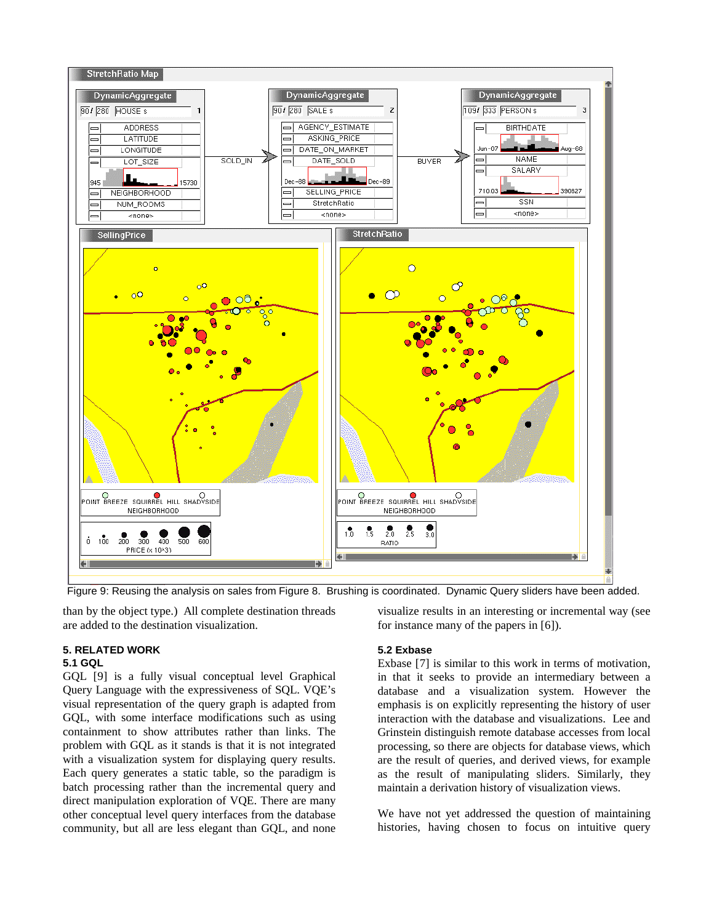

Figure 9: Reusing the analysis on sales from Figure 8. Brushing is coordinated. Dynamic Query sliders have been added.

than by the object type.) All complete destination threads are added to the destination visualization.

# **5. RELATED WORK**

# **5.1 GQL**

GQL [9] is a fully visual conceptual level Graphical Query Language with the expressiveness of SQL. VQE's visual representation of the query graph is adapted from GQL, with some interface modifications such as using containment to show attributes rather than links. The problem with GQL as it stands is that it is not integrated with a visualization system for displaying query results. Each query generates a static table, so the paradigm is batch processing rather than the incremental query and direct manipulation exploration of VQE. There are many other conceptual level query interfaces from the database community, but all are less elegant than GQL, and none visualize results in an interesting or incremental way (see for instance many of the papers in [6]).

# **5.2 Exbase**

Exbase [7] is similar to this work in terms of motivation, in that it seeks to provide an intermediary between a database and a visualization system. However the emphasis is on explicitly representing the history of user interaction with the database and visualizations. Lee and Grinstein distinguish remote database accesses from local processing, so there are objects for database views, which are the result of queries, and derived views, for example as the result of manipulating sliders. Similarly, they maintain a derivation history of visualization views.

We have not yet addressed the question of maintaining histories, having chosen to focus on intuitive query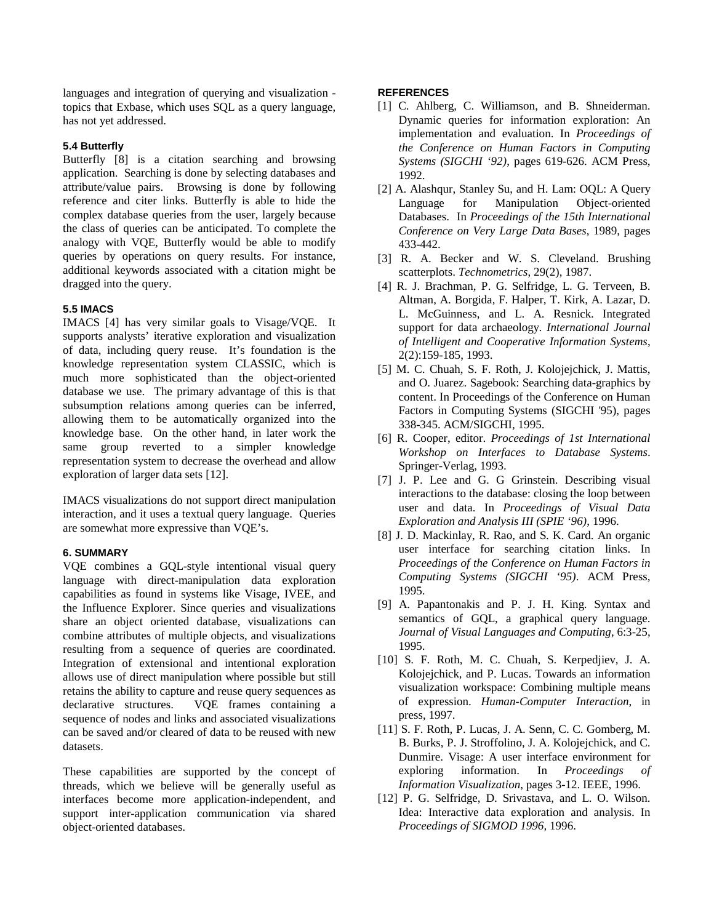languages and integration of querying and visualization topics that Exbase, which uses SQL as a query language, has not yet addressed.

# **5.4 Butterfly**

Butterfly [8] is a citation searching and browsing application. Searching is done by selecting databases and attribute/value pairs. Browsing is done by following reference and citer links. Butterfly is able to hide the complex database queries from the user, largely because the class of queries can be anticipated. To complete the analogy with VQE, Butterfly would be able to modify queries by operations on query results. For instance, additional keywords associated with a citation might be dragged into the query.

# **5.5 IMACS**

IMACS [4] has very similar goals to Visage/VQE. It supports analysts' iterative exploration and visualization of data, including query reuse. It's foundation is the knowledge representation system CLASSIC, which is much more sophisticated than the object-oriented database we use. The primary advantage of this is that subsumption relations among queries can be inferred, allowing them to be automatically organized into the knowledge base. On the other hand, in later work the same group reverted to a simpler knowledge representation system to decrease the overhead and allow exploration of larger data sets [12].

IMACS visualizations do not support direct manipulation interaction, and it uses a textual query language. Queries are somewhat more expressive than VQE's.

# **6. SUMMARY**

VQE combines a GQL-style intentional visual query language with direct-manipulation data exploration capabilities as found in systems like Visage, IVEE, and the Influence Explorer. Since queries and visualizations share an object oriented database, visualizations can combine attributes of multiple objects, and visualizations resulting from a sequence of queries are coordinated. Integration of extensional and intentional exploration allows use of direct manipulation where possible but still retains the ability to capture and reuse query sequences as declarative structures. VQE frames containing a sequence of nodes and links and associated visualizations can be saved and/or cleared of data to be reused with new datasets.

These capabilities are supported by the concept of threads, which we believe will be generally useful as interfaces become more application-independent, and support inter-application communication via shared object-oriented databases.

#### **REFERENCES**

- [1] C. Ahlberg, C. Williamson, and B. Shneiderman. Dynamic queries for information exploration: An implementation and evaluation. In *Proceedings of the Conference on Human Factors in Computing Systems (SIGCHI '92)*, pages 619-626. ACM Press, 1992.
- [2] A. Alashqur, Stanley Su, and H. Lam: OQL: A Query Language for Manipulation Object-oriented Databases. In *Proceedings of the 15th International Conference on Very Large Data Bases*, 1989, pages 433-442.
- [3] R. A. Becker and W. S. Cleveland. Brushing scatterplots. *Technometrics*, 29(2), 1987.
- [4] R. J. Brachman, P. G. Selfridge, L. G. Terveen, B. Altman, A. Borgida, F. Halper, T. Kirk, A. Lazar, D. L. McGuinness, and L. A. Resnick. Integrated support for data archaeology. *International Journal of Intelligent and Cooperative Information Systems*, 2(2):159-185, 1993.
- [5] M. C. Chuah, S. F. Roth, J. Kolojejchick, J. Mattis, and O. Juarez. Sagebook: Searching data-graphics by content. In Proceedings of the Conference on Human Factors in Computing Systems (SIGCHI '95), pages 338-345. ACM/SIGCHI, 1995.
- [6] R. Cooper, editor. *Proceedings of 1st International Workshop on Interfaces to Database Systems*. Springer-Verlag, 1993.
- [7] J. P. Lee and G. G Grinstein. Describing visual interactions to the database: closing the loop between user and data. In *Proceedings of Visual Data Exploration and Analysis III (SPIE '96)*, 1996.
- [8] J. D. Mackinlay, R. Rao, and S. K. Card. An organic user interface for searching citation links. In *Proceedings of the Conference on Human Factors in Computing Systems (SIGCHI '95)*. ACM Press, 1995.
- [9] A. Papantonakis and P. J. H. King. Syntax and semantics of GQL, a graphical query language. *Journal of Visual Languages and Computing*, 6:3-25, 1995.
- [10] S. F. Roth, M. C. Chuah, S. Kerpedjiev, J. A. Kolojejchick, and P. Lucas. Towards an information visualization workspace: Combining multiple means of expression. *Human-Computer Interaction*, in press, 1997.
- [11] S. F. Roth, P. Lucas, J. A. Senn, C. C. Gomberg, M. B. Burks, P. J. Stroffolino, J. A. Kolojejchick, and C. Dunmire. Visage: A user interface environment for exploring information. In *Proceedings of Information Visualization*, pages 3-12. IEEE, 1996.
- [12] P. G. Selfridge, D. Srivastava, and L. O. Wilson. Idea: Interactive data exploration and analysis. In *Proceedings of SIGMOD 1996*, 1996.